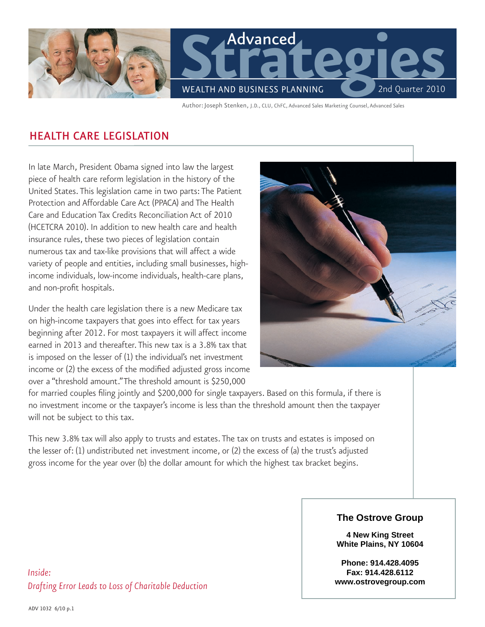

Author:Joseph Stenken, J.D., CLU, ChFC, Advanced Sales Marketing Counsel, Advanced Sales

## Health Care Legislation

In late March, President Obama signed into law the largest piece of health care reform legislation in the history of the United States. This legislation came in two parts: The Patient Protection and Affordable Care Act (PPACA) and The Health Care and Education Tax Credits Reconciliation Act of 2010 (HCETCRA 2010). In addition to new health care and health insurance rules, these two pieces of legislation contain numerous tax and tax-like provisions that will affect a wide variety of people and entities, including small businesses, highincome individuals, low-income individuals, health-care plans, and non-profit hospitals.

Under the health care legislation there is a new Medicare tax on high-income taxpayers that goes into effect for tax years beginning after 2012. For most taxpayers it will affect income earned in 2013 and thereafter. This new tax is a 3.8% tax that is imposed on the lesser of (1) the individual's net investment income or (2) the excess of the modified adjusted gross income over a "threshold amount." The threshold amount is \$250,000



for married couples filing jointly and \$200,000 for single taxpayers. Based on this formula, if there is no investment income or the taxpayer's income is less than the threshold amount then the taxpayer will not be subject to this tax.

This new 3.8% tax will also apply to trusts and estates. The tax on trusts and estates is imposed on the lesser of: (1) undistributed net investment income, or (2) the excess of (a) the trust's adjusted gross income for the year over (b) the dollar amount for which the highest tax bracket begins.

## **The Ostrove Group**

**Agency Name 4 New King Street Address White Plains, NY 10604** 

**City, State, Zip Phone, Fax Phone: 914.428.4095 Email, Website www.ostrovegroup.comFax: 914.428.6112** 

*Inside: Drafting Error Leads to Loss of Charitable Deduction*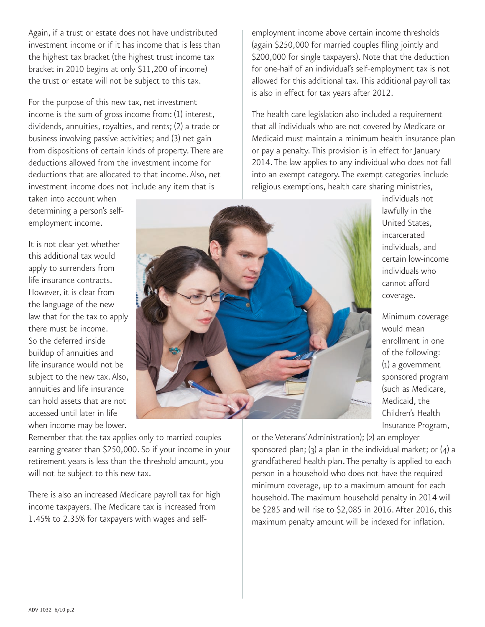Again, if a trust or estate does not have undistributed investment income or if it has income that is less than the highest tax bracket (the highest trust income tax bracket in 2010 begins at only \$11,200 of income) the trust or estate will not be subject to this tax.

For the purpose of this new tax, net investment income is the sum of gross income from: (1) interest, dividends, annuities, royalties, and rents; (2) a trade or business involving passive activities; and (3) net gain from dispositions of certain kinds of property. There are deductions allowed from the investment income for deductions that are allocated to that income. Also, net investment income does not include any item that is

taken into account when determining a person's selfemployment income.

It is not clear yet whether this additional tax would apply to surrenders from life insurance contracts. However, it is clear from the language of the new law that for the tax to apply there must be income. So the deferred inside buildup of annuities and life insurance would not be subject to the new tax. Also, annuities and life insurance can hold assets that are not accessed until later in life when income may be lower.

Remember that the tax applies only to married couples earning greater than \$250,000. So if your income in your retirement years is less than the threshold amount, you will not be subject to this new tax.

There is also an increased Medicare payroll tax for high income taxpayers. The Medicare tax is increased from 1.45% to 2.35% for taxpayers with wages and selfemployment income above certain income thresholds (again \$250,000 for married couples filing jointly and \$200,000 for single taxpayers). Note that the deduction for one-half of an individual's self-employment tax is not allowed for this additional tax. This additional payroll tax is also in effect for tax years after 2012.

The health care legislation also included a requirement that all individuals who are not covered by Medicare or Medicaid must maintain a minimum health insurance plan or pay a penalty. This provision is in effect for January 2014. The law applies to any individual who does not fall into an exempt category. The exempt categories include religious exemptions, health care sharing ministries,

> individuals not lawfully in the United States, incarcerated individuals, and certain low-income individuals who cannot afford coverage.

Minimum coverage would mean enrollment in one of the following: (1) a government sponsored program (such as Medicare, Medicaid, the Children's Health Insurance Program,

or the Veterans' Administration); (2) an employer sponsored plan;  $(3)$  a plan in the individual market; or  $(4)$  a grandfathered health plan. The penalty is applied to each person in a household who does not have the required minimum coverage, up to a maximum amount for each household. The maximum household penalty in 2014 will be \$285 and will rise to \$2,085 in 2016. After 2016, this maximum penalty amount will be indexed for inflation.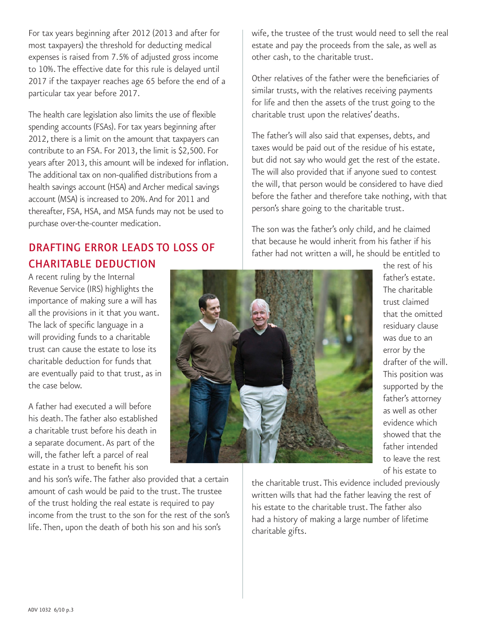For tax years beginning after 2012 (2013 and after for most taxpayers) the threshold for deducting medical expenses is raised from 7.5% of adjusted gross income to 10%. The effective date for this rule is delayed until 2017 if the taxpayer reaches age 65 before the end of a particular tax year before 2017.

The health care legislation also limits the use of flexible spending accounts (FSAs). For tax years beginning after 2012, there is a limit on the amount that taxpayers can contribute to an FSA. For 2013, the limit is \$2,500. For years after 2013, this amount will be indexed for inflation. The additional tax on non-qualified distributions from a health savings account (HSA) and Archer medical savings account (MSA) is increased to 20%. And for 2011 and thereafter, FSA, HSA, and MSA funds may not be used to purchase over-the-counter medication.

## Drafting Error Leads to Loss of Charitable Deduction

A recent ruling by the Internal Revenue Service (IRS) highlights the importance of making sure a will has all the provisions in it that you want. The lack of specific language in a will providing funds to a charitable trust can cause the estate to lose its charitable deduction for funds that are eventually paid to that trust, as in the case below.

A father had executed a will before his death. The father also established a charitable trust before his death in a separate document. As part of the will, the father left a parcel of real estate in a trust to benefit his son

and his son's wife. The father also provided that a certain amount of cash would be paid to the trust. The trustee of the trust holding the real estate is required to pay income from the trust to the son for the rest of the son's life. Then, upon the death of both his son and his son's

wife, the trustee of the trust would need to sell the real estate and pay the proceeds from the sale, as well as other cash, to the charitable trust.

Other relatives of the father were the beneficiaries of similar trusts, with the relatives receiving payments for life and then the assets of the trust going to the charitable trust upon the relatives' deaths.

The father's will also said that expenses, debts, and taxes would be paid out of the residue of his estate, but did not say who would get the rest of the estate. The will also provided that if anyone sued to contest the will, that person would be considered to have died before the father and therefore take nothing, with that person's share going to the charitable trust.

The son was the father's only child, and he claimed that because he would inherit from his father if his father had not written a will, he should be entitled to



the rest of his father's estate. The charitable trust claimed that the omitted residuary clause was due to an error by the drafter of the will. This position was supported by the father's attorney as well as other evidence which showed that the father intended to leave the rest of his estate to

the charitable trust. This evidence included previously written wills that had the father leaving the rest of his estate to the charitable trust. The father also had a history of making a large number of lifetime charitable gifts.